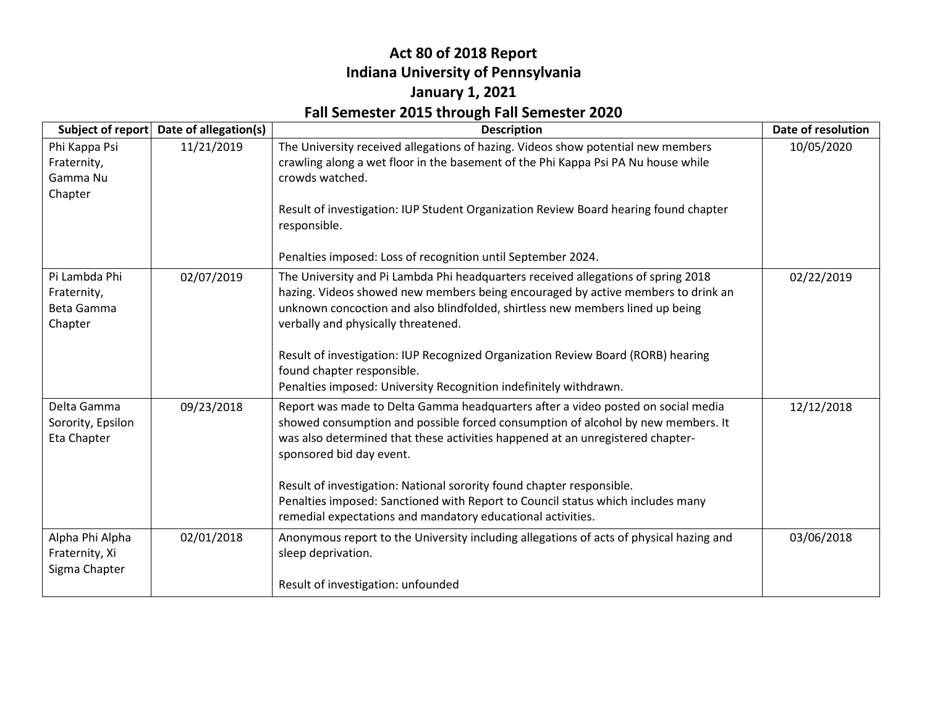#### **Act 80 of 2018 Report Indiana University of Pennsylvania January 1, 2021 Fall Semester 2015 through Fall Semester 2020**

|                                                       | Subject of report Date of allegation(s) | <b>Description</b>                                                                                                                                                                                                                                                                               | Date of resolution |
|-------------------------------------------------------|-----------------------------------------|--------------------------------------------------------------------------------------------------------------------------------------------------------------------------------------------------------------------------------------------------------------------------------------------------|--------------------|
| Phi Kappa Psi<br>Fraternity,<br>Gamma Nu<br>Chapter   | 11/21/2019                              | The University received allegations of hazing. Videos show potential new members<br>crawling along a wet floor in the basement of the Phi Kappa Psi PA Nu house while<br>crowds watched.<br>Result of investigation: IUP Student Organization Review Board hearing found chapter<br>responsible. | 10/05/2020         |
|                                                       |                                         | Penalties imposed: Loss of recognition until September 2024.                                                                                                                                                                                                                                     |                    |
| Pi Lambda Phi<br>Fraternity,<br>Beta Gamma<br>Chapter | 02/07/2019                              | The University and Pi Lambda Phi headquarters received allegations of spring 2018<br>hazing. Videos showed new members being encouraged by active members to drink an<br>unknown concoction and also blindfolded, shirtless new members lined up being<br>verbally and physically threatened.    | 02/22/2019         |
|                                                       |                                         | Result of investigation: IUP Recognized Organization Review Board (RORB) hearing<br>found chapter responsible.<br>Penalties imposed: University Recognition indefinitely withdrawn.                                                                                                              |                    |
| Delta Gamma<br>Sorority, Epsilon<br>Eta Chapter       | 09/23/2018                              | Report was made to Delta Gamma headquarters after a video posted on social media<br>showed consumption and possible forced consumption of alcohol by new members. It<br>was also determined that these activities happened at an unregistered chapter-<br>sponsored bid day event.               | 12/12/2018         |
|                                                       |                                         | Result of investigation: National sorority found chapter responsible.<br>Penalties imposed: Sanctioned with Report to Council status which includes many<br>remedial expectations and mandatory educational activities.                                                                          |                    |
| Alpha Phi Alpha<br>Fraternity, Xi<br>Sigma Chapter    | 02/01/2018                              | Anonymous report to the University including allegations of acts of physical hazing and<br>sleep deprivation.                                                                                                                                                                                    | 03/06/2018         |
|                                                       |                                         | Result of investigation: unfounded                                                                                                                                                                                                                                                               |                    |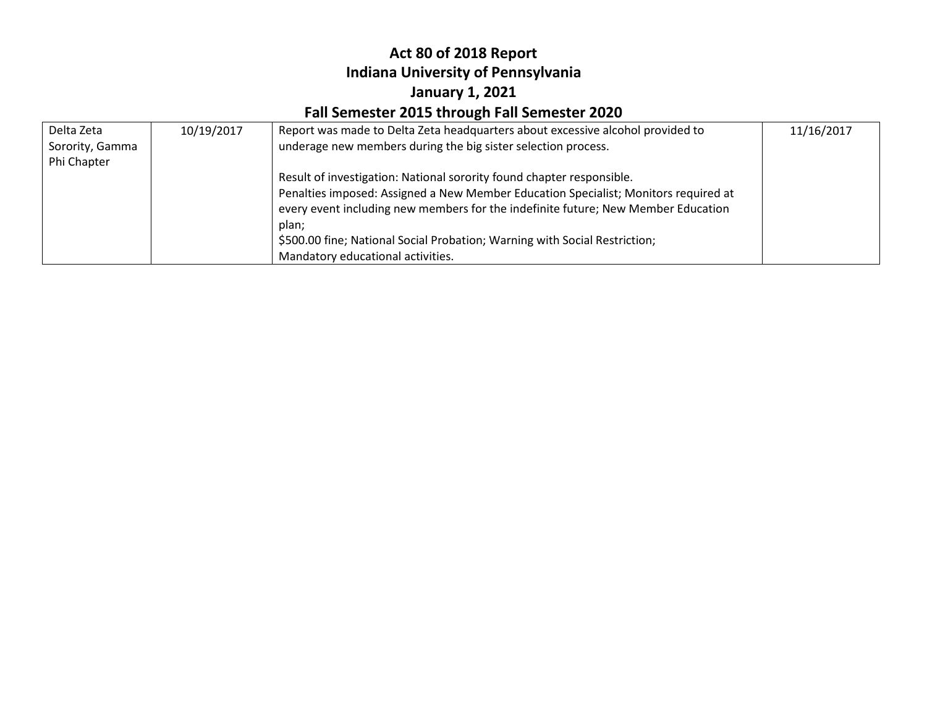# **Act 80 of 2018 Report Indiana University of Pennsylvania January 1, 2021**

## **Fall Semester 2015 through Fall Semester 2020**

| Delta Zeta      | 10/19/2017 | Report was made to Delta Zeta headquarters about excessive alcohol provided to      | 11/16/2017 |
|-----------------|------------|-------------------------------------------------------------------------------------|------------|
| Sorority, Gamma |            | underage new members during the big sister selection process.                       |            |
| Phi Chapter     |            |                                                                                     |            |
|                 |            | Result of investigation: National sorority found chapter responsible.               |            |
|                 |            | Penalties imposed: Assigned a New Member Education Specialist; Monitors required at |            |
|                 |            | every event including new members for the indefinite future; New Member Education   |            |
|                 |            | plan;                                                                               |            |
|                 |            | \$500.00 fine; National Social Probation; Warning with Social Restriction;          |            |
|                 |            | Mandatory educational activities.                                                   |            |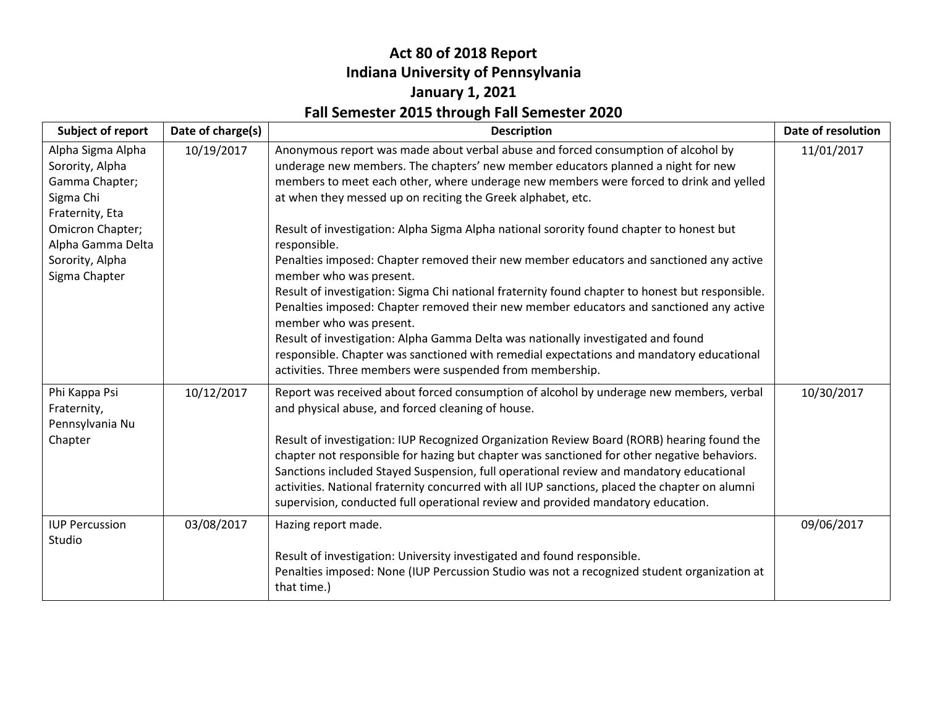### **Act 80 of 2018 Report Indiana University of Pennsylvania January 1, 2021 Fall Semester 2015 through Fall Semester 2020**

| <b>Subject of report</b>                                                                                                                           | Date of charge(s) | <b>Description</b>                                                                                                                                                                                                                                                                                                                                                                                                                                                                                                                                                                                                         | Date of resolution |
|----------------------------------------------------------------------------------------------------------------------------------------------------|-------------------|----------------------------------------------------------------------------------------------------------------------------------------------------------------------------------------------------------------------------------------------------------------------------------------------------------------------------------------------------------------------------------------------------------------------------------------------------------------------------------------------------------------------------------------------------------------------------------------------------------------------------|--------------------|
| Alpha Sigma Alpha<br>Sorority, Alpha<br>Gamma Chapter;<br>Sigma Chi<br>Fraternity, Eta<br>Omicron Chapter;<br>Alpha Gamma Delta<br>Sorority, Alpha | 10/19/2017        | Anonymous report was made about verbal abuse and forced consumption of alcohol by<br>underage new members. The chapters' new member educators planned a night for new<br>members to meet each other, where underage new members were forced to drink and yelled<br>at when they messed up on reciting the Greek alphabet, etc.<br>Result of investigation: Alpha Sigma Alpha national sorority found chapter to honest but<br>responsible.<br>Penalties imposed: Chapter removed their new member educators and sanctioned any active                                                                                      | 11/01/2017         |
| Sigma Chapter                                                                                                                                      |                   | member who was present.<br>Result of investigation: Sigma Chi national fraternity found chapter to honest but responsible.<br>Penalties imposed: Chapter removed their new member educators and sanctioned any active<br>member who was present.<br>Result of investigation: Alpha Gamma Delta was nationally investigated and found<br>responsible. Chapter was sanctioned with remedial expectations and mandatory educational<br>activities. Three members were suspended from membership.                                                                                                                              |                    |
| Phi Kappa Psi<br>Fraternity,<br>Pennsylvania Nu<br>Chapter                                                                                         | 10/12/2017        | Report was received about forced consumption of alcohol by underage new members, verbal<br>and physical abuse, and forced cleaning of house.<br>Result of investigation: IUP Recognized Organization Review Board (RORB) hearing found the<br>chapter not responsible for hazing but chapter was sanctioned for other negative behaviors.<br>Sanctions included Stayed Suspension, full operational review and mandatory educational<br>activities. National fraternity concurred with all IUP sanctions, placed the chapter on alumni<br>supervision, conducted full operational review and provided mandatory education. | 10/30/2017         |
| <b>IUP Percussion</b><br>Studio                                                                                                                    | 03/08/2017        | Hazing report made.<br>Result of investigation: University investigated and found responsible.<br>Penalties imposed: None (IUP Percussion Studio was not a recognized student organization at<br>that time.)                                                                                                                                                                                                                                                                                                                                                                                                               | 09/06/2017         |